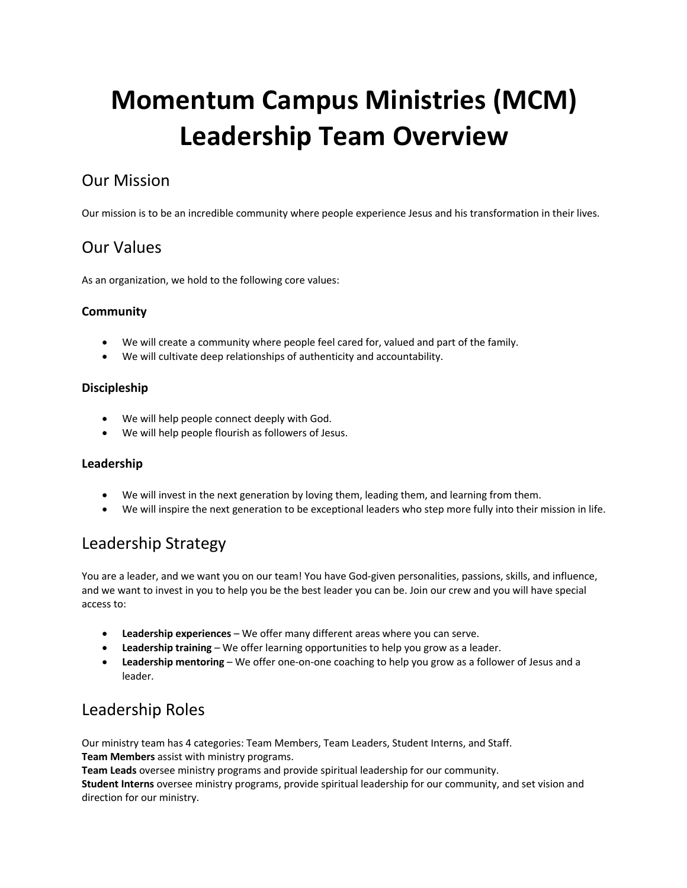# **Momentum Campus Ministries (MCM) Leadership Team Overview**

# Our Mission

Our mission is to be an incredible community where people experience Jesus and his transformation in their lives.

## Our Values

As an organization, we hold to the following core values:

#### **Community**

- We will create a community where people feel cared for, valued and part of the family.
- We will cultivate deep relationships of authenticity and accountability.

#### **Discipleship**

- We will help people connect deeply with God.
- We will help people flourish as followers of Jesus.

#### **Leadership**

- We will invest in the next generation by loving them, leading them, and learning from them.
- We will inspire the next generation to be exceptional leaders who step more fully into their mission in life.

## Leadership Strategy

You are a leader, and we want you on our team! You have God-given personalities, passions, skills, and influence, and we want to invest in you to help you be the best leader you can be. Join our crew and you will have special access to:

- **Leadership experiences**  We offer many different areas where you can serve.
- **Leadership training**  We offer learning opportunities to help you grow as a leader.
- **Leadership mentoring**  We offer one-on-one coaching to help you grow as a follower of Jesus and a leader.

## Leadership Roles

Our ministry team has 4 categories: Team Members, Team Leaders, Student Interns, and Staff. **Team Members** assist with ministry programs.

**Team Leads** oversee ministry programs and provide spiritual leadership for our community.

**Student Interns** oversee ministry programs, provide spiritual leadership for our community, and set vision and direction for our ministry.